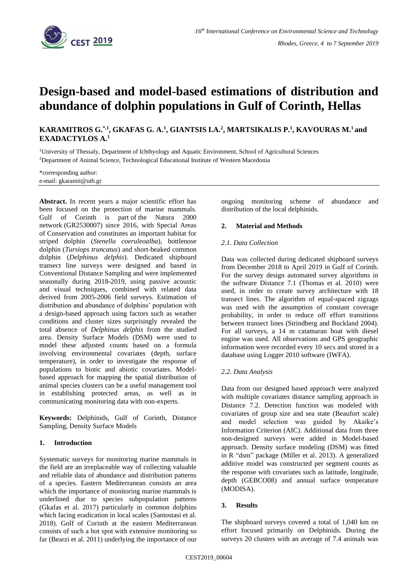

# **Design-based and model-based estimations of distribution and abundance of dolphin populations in Gulf of Corinth, Hellas**

## **KARAMITROS G.\*,1 , GKAFAS G. A.<sup>1</sup> , GIANTSIS I.A.<sup>2</sup> , MARTSIKALIS P.<sup>1</sup> , KAVOURAS M.<sup>1</sup> and EXADACTYLOS A.<sup>1</sup>**

<sup>1</sup>University of Thessaly, Department of Ichthyology and Aquatic Environment, School of Agricultural Sciences <sup>2</sup>Department of Animal Science, Technological Educational Institute of Western Macedonia

\*corresponding author: e-mail: gkaramit@uth.gr

**Abstract.** In recent years a major scientific effort has been focused on the protection of marine mammals. Gulf of Corinth is part of the Natura 2000 network (GR2530007) since 2016, with Special Areas of Conservation and constitutes an important habitat for striped dolphin (*Stenella coeruleoalba*), bottlenose dolphin (*Tursiops truncatus*) and short-beaked common dolphin (*Delphinus delphis*). Dedicated shipboard transect line surveys were designed and based in Conventional Distance Sampling and were implemented seasonally during 2018-2019, using passive acoustic and visual techniques, combined with related data derived from 2005-2006 field surveys. Estimation of distribution and abundance of dolphins' population with a design-based approach using factors such as weather conditions and cluster sizes surprisingly revealed the total absence of *Delphinus delphis* from the studied area. Density Surface Models (DSM) were used to model these adjusted counts based on a formula involving environmental covariates (depth, surface temperature), in order to investigate the response of populations to biotic and abiotic covariates. Modelbased approach for mapping the spatial distribution of animal species clusters can be a useful management tool in establishing protected areas, as well as in communicating monitoring data with non-experts.

**Keywords:** Delphinids, Gulf of Corinth, Distance Sampling, Density Surface Models

## **1. Introduction**

Systematic surveys for monitoring marine mammals in the field are an irreplaceable way of collecting valuable and reliable data of abundance and distribution patterns of a species. Eastern Mediterranean consists an area which the importance of monitoring marine mammals is underlined due to species subpopulation patterns (Gkafas et al. 2017) particularly in common dolphins which facing eradication in local scales (Santostasi et al. 2018). Golf of Corinth at the eastern Mediterranean consists of such a hot spot with extensive monitoring so far (Bearzi et al. 2011) underlying the importance of our

ongoing monitoring scheme of abundance and distribution of the local delphinids.

## **2. Material and Methods**

## *2.1. Data Collection*

Data was collected during dedicated shipboard surveys from December 2018 to April 2019 in Gulf of Corinth. For the survey design automated survey algorithms in the software Distance 7.1 (Thomas et al. 2010) were used, in order to create survey architecture with 18 transect lines. The algorithm of equal-spaced zigzags was used with the assumption of constant coverage probability, in order to reduce off effort transitions between transect lines (Strindberg and Buckland 2004). For all surveys, a 14 m catamaran boat with diesel engine was used. All observations and GPS geographic information were recorded every 10 secs and stored in a database using Logger 2010 software (IWFA).

## *2.2. Data Analysis*

Data from our designed based approach were analyzed with multiple covariates distance sampling approach in Distance 7.2. Detection function was modeled with covariates of group size and sea state (Beaufort scale) and model selection was guided by Akaike's Information Criterion (AIC). Additional data from three non-designed surveys were added in Model-based approach. Density surface modeling (DSM) was fitted in R "dsm" package (Miller et al. 2013). A generalized additive model was constructed per segment counts as the response with covariates such as latitude, longitude, depth (GEBCO08) and annual surface temperature (MODISA).

## **3. Results**

The shipboard surveys covered a total of 1,040 km on effort focused primarily on Delphinids. During the surveys 20 clusters with an average of 7.4 animals was